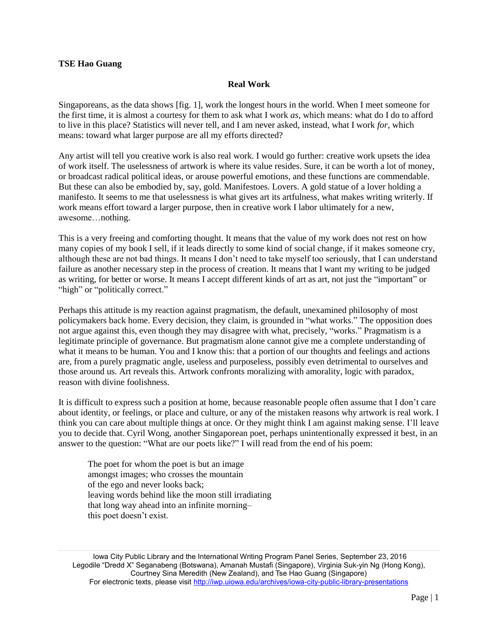## **TSE Hao Guang**

## **Real Work**

Singaporeans, as the data shows [fig. 1], work the longest hours in the world. When I meet someone for the first time, it is almost a courtesy for them to ask what I work *as*, which means: what do I do to afford to live in this place? Statistics will never tell, and I am never asked, instead, what I work *for*, which means: toward what larger purpose are all my efforts directed?

Any artist will tell you creative work is also real work. I would go further: creative work upsets the idea of work itself. The uselessness of artwork is where its value resides. Sure, it can be worth a lot of money, or broadcast radical political ideas, or arouse powerful emotions, and these functions are commendable. But these can also be embodied by, say, gold. Manifestoes. Lovers. A gold statue of a lover holding a manifesto. It seems to me that uselessness is what gives art its artfulness, what makes writing writerly. If work means effort toward a larger purpose, then in creative work I labor ultimately for a new, awesome…nothing.

This is a very freeing and comforting thought. It means that the value of my work does not rest on how many copies of my book I sell, if it leads directly to some kind of social change, if it makes someone cry, although these are not bad things. It means I don't need to take myself too seriously, that I can understand failure as another necessary step in the process of creation. It means that I want my writing to be judged as writing, for better or worse. It means I accept different kinds of art as art, not just the "important" or "high" or "politically correct."

Perhaps this attitude is my reaction against pragmatism, the default, unexamined philosophy of most policymakers back home. Every decision, they claim, is grounded in "what works." The opposition does not argue against this, even though they may disagree with what, precisely, "works." Pragmatism is a legitimate principle of governance. But pragmatism alone cannot give me a complete understanding of what it means to be human. You and I know this: that a portion of our thoughts and feelings and actions are, from a purely pragmatic angle, useless and purposeless, possibly even detrimental to ourselves and those around us. Art reveals this. Artwork confronts moralizing with amorality, logic with paradox, reason with divine foolishness.

It is difficult to express such a position at home, because reasonable people often assume that I don't care about identity, or feelings, or place and culture, or any of the mistaken reasons why artwork is real work. I think you can care about multiple things at once. Or they might think I am against making sense. I'll leave you to decide that. Cyril Wong, another Singaporean poet, perhaps unintentionally expressed it best, in an answer to the question: "What are our poets like?" I will read from the end of his poem:

The poet for whom the poet is but an image amongst images; who crosses the mountain of the ego and never looks back; leaving words behind like the moon still irradiating that long way ahead into an infinite morning– this poet doesn't exist.

Iowa City Public Library and the International Writing Program Panel Series, September 23, 2016 Legodile "Dredd X" Seganabeng (Botswana), Amanah Mustafi (Singapore), Virginia Suk-yin Ng (Hong Kong), Courtney Sina Meredith (New Zealand), and Tse Hao Guang (Singapore) For electronic texts, please visit<http://iwp.uiowa.edu/archives/iowa-city-public-library-presentations>